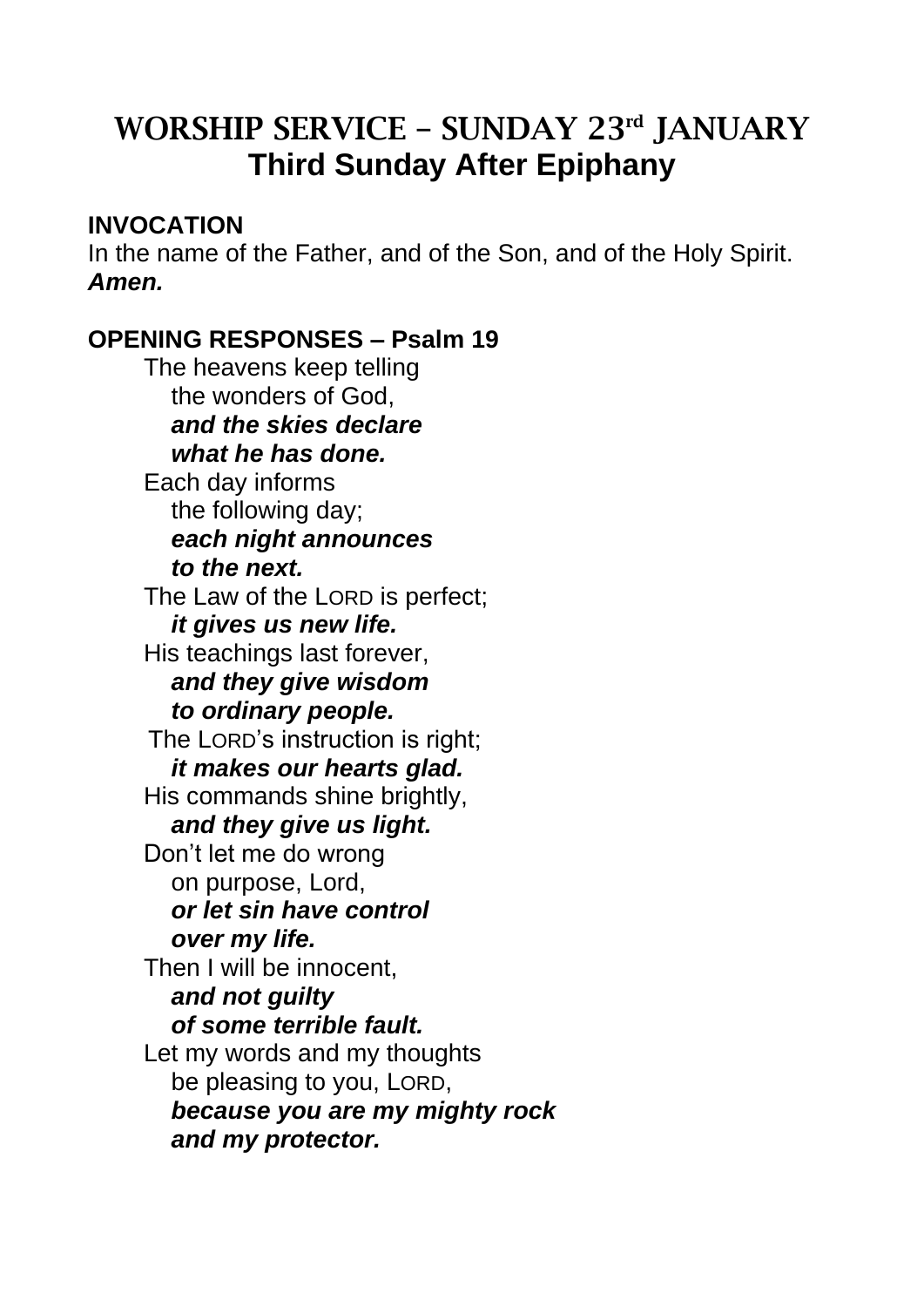# WORSHIP SERVICE – SUNDAY 23rd JANUARY **Third Sunday After Epiphany**

## **INVOCATION**

In the name of the Father, and of the Son, and of the Holy Spirit. *Amen.* 

## **OPENING RESPONSES – Psalm 19**

The heavens keep telling the wonders of God,  *and the skies declare what he has done.* Each day informs the following day; *each night announces to the next.* The Law of the LORD is perfect;  *it gives us new life.* His teachings last forever,  *and they give wisdom to ordinary people.* The LORD's instruction is right;  *it makes our hearts glad.* His commands shine brightly, *and they give us light.* Don't let me do wrong on purpose, Lord,  *or let sin have control over my life.* Then I will be innocent, *and not guilty of some terrible fault.* Let my words and my thoughts be pleasing to you, LORD, *because you are my mighty rock and my protector.*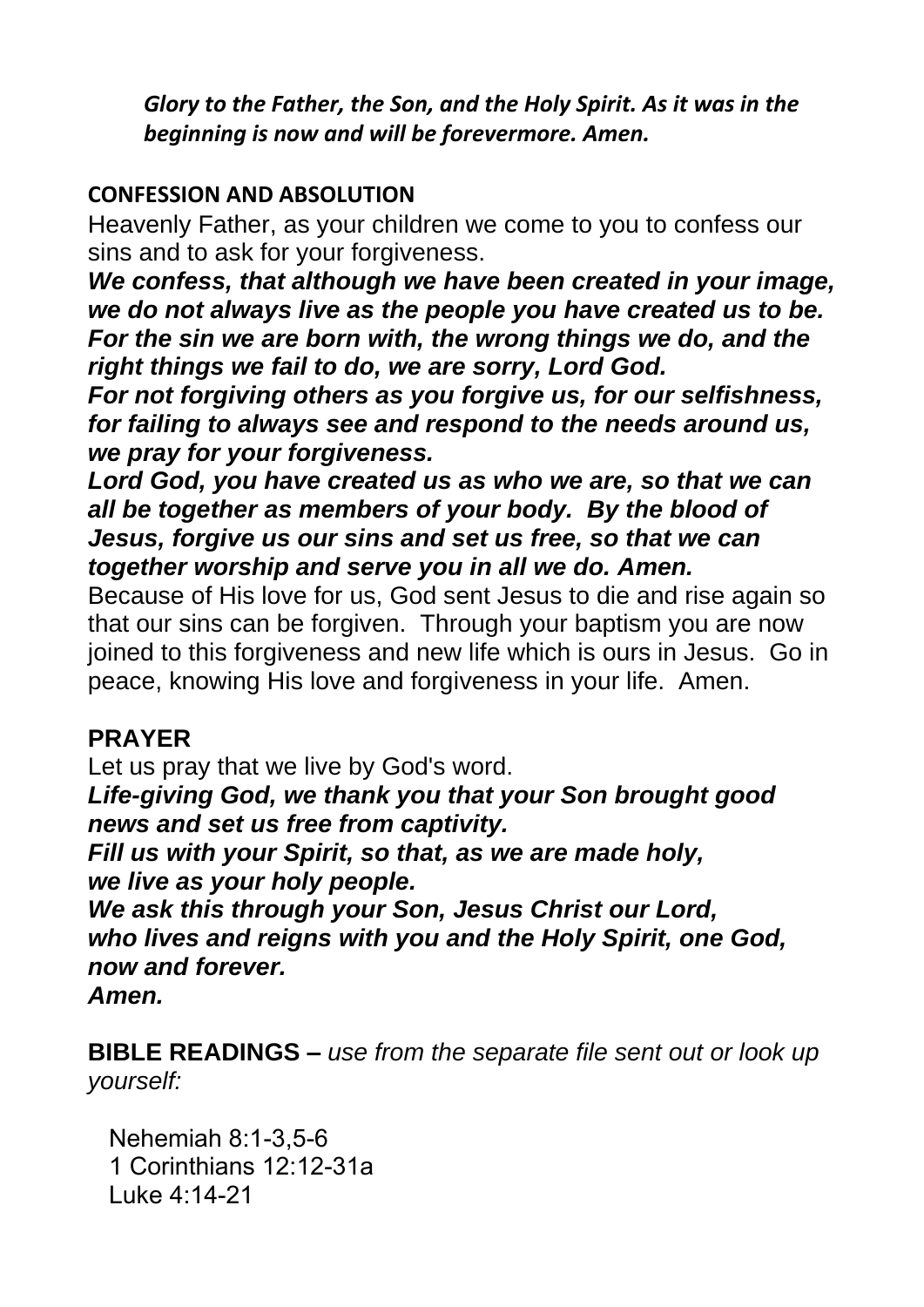*Glory to the Father, the Son, and the Holy Spirit. As it was in the beginning is now and will be forevermore. Amen.* 

#### **CONFESSION AND ABSOLUTION**

Heavenly Father, as your children we come to you to confess our sins and to ask for your forgiveness.

*We confess, that although we have been created in your image, we do not always live as the people you have created us to be. For the sin we are born with, the wrong things we do, and the right things we fail to do, we are sorry, Lord God.*

*For not forgiving others as you forgive us, for our selfishness, for failing to always see and respond to the needs around us, we pray for your forgiveness.*

*Lord God, you have created us as who we are, so that we can all be together as members of your body. By the blood of Jesus, forgive us our sins and set us free, so that we can together worship and serve you in all we do. Amen.*

Because of His love for us, God sent Jesus to die and rise again so that our sins can be forgiven. Through your baptism you are now joined to this forgiveness and new life which is ours in Jesus. Go in peace, knowing His love and forgiveness in your life. Amen.

#### **PRAYER**

Let us pray that we live by God's word.

*Life-giving God, we thank you that your Son brought good news and set us free from captivity.* 

*Fill us with your Spirit, so that, as we are made holy, we live as your holy people.* 

*We ask this through your Son, Jesus Christ our Lord, who lives and reigns with you and the Holy Spirit, one God, now and forever.* 

*Amen.*

**BIBLE READINGS –** *use from the separate file sent out or look up yourself:*

Nehemiah 8:1-3,5-6 1 Corinthians 12:12-31a Luke 4:14-21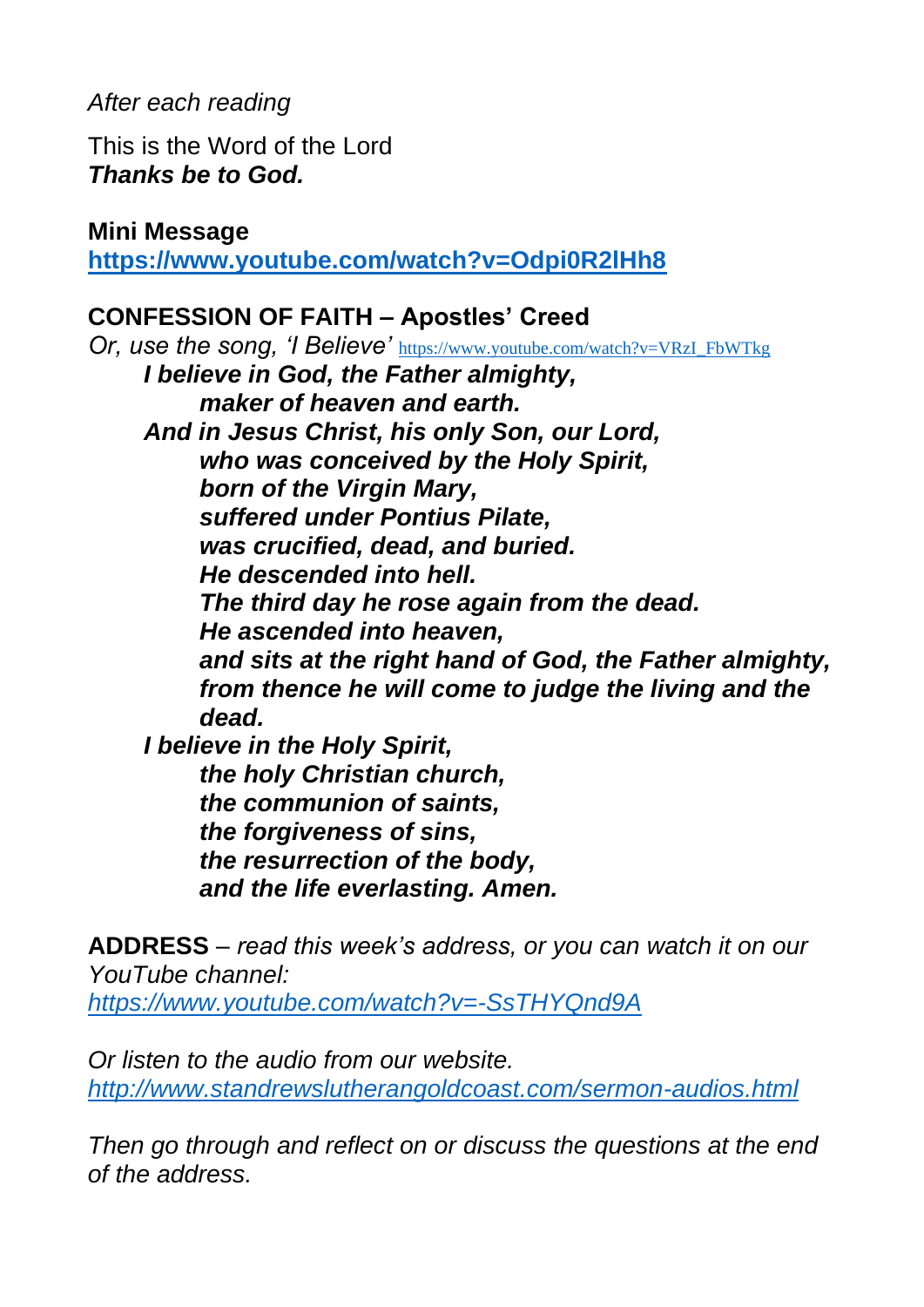## *After each reading*

This is the Word of the Lord *Thanks be to God.*

**Mini Message**

**<https://www.youtube.com/watch?v=Odpi0R2lHh8>**

### **CONFESSION OF FAITH – Apostles' Creed**

*Or, use the song, 'I Believe'* [https://www.youtube.com/watch?v=VRzI\\_FbWTkg](https://www.youtube.com/watch?v=VRzI_FbWTkg) *I believe in God, the Father almighty, maker of heaven and earth. And in Jesus Christ, his only Son, our Lord, who was conceived by the Holy Spirit, born of the Virgin Mary, suffered under Pontius Pilate, was crucified, dead, and buried. He descended into hell. The third day he rose again from the dead. He ascended into heaven, and sits at the right hand of God, the Father almighty, from thence he will come to judge the living and the dead. I believe in the Holy Spirit, the holy Christian church, the communion of saints, the forgiveness of sins, the resurrection of the body, and the life everlasting. Amen.*

**ADDRESS** – *read this week's address, or you can watch it on our YouTube channel: <https://www.youtube.com/watch?v=-SsTHYQnd9A>*

*Or listen to the audio from our website. <http://www.standrewslutherangoldcoast.com/sermon-audios.html>*

*Then go through and reflect on or discuss the questions at the end of the address.*